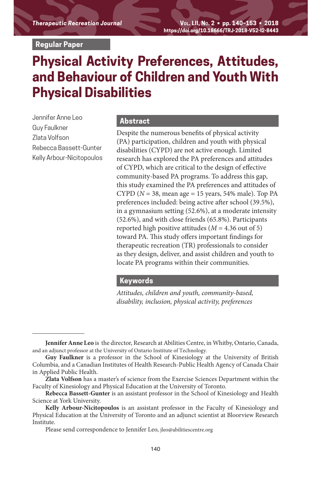**Regular Paper**

# **Physical Activity Preferences, Attitudes, and Behaviour of Children and Youth With Physical Disabilities**

Jennifer Anne Leo Guy Faulkner Zlata Volfson Rebecca Bassett-Gunter Kelly Arbour-Nicitopoulos

#### **Abstract**

Despite the numerous benefits of physical activity (PA) participation, children and youth with physical disabilities (CYPD) are not active enough. Limited research has explored the PA preferences and attitudes of CYPD, which are critical to the design of effective community-based PA programs. To address this gap, this study examined the PA preferences and attitudes of CYPD ( $N = 38$ , mean age = 15 years, 54% male). Top PA preferences included: being active after school (39.5%), in a gymnasium setting (52.6%), at a moderate intensity (52.6%), and with close friends (65.8%). Participants reported high positive attitudes  $(M = 4.36$  out of 5) toward PA. This study offers important findings for therapeutic recreation (TR) professionals to consider as they design, deliver, and assist children and youth to locate PA programs within their communities.

### **Keywords**

*Attitudes, children and youth, community-based, disability, inclusion, physical activity, preferences*

**Jennifer Anne Leo** is the director, Research at Abilities Centre, in Whitby, Ontario, Canada, and an adjunct professor at the University of Ontario Institute of Technology.

**Guy Faulkner** is a professor in the School of Kinesiology at the University of British Columbia, and a Canadian Institutes of Health Research-Public Health Agency of Canada Chair in Applied Public Health.

**Zlata Volfson** has a master's of science from the Exercise Sciences Department within the Faculty of Kinesiology and Physical Education at the University of Toronto.

**Rebecca Bassett-Gunter** is an assistant professor in the School of Kinesiology and Health Science at York University.

**Kelly Arbour-Nicitopoulos** is an assistant professor in the Faculty of Kinesiology and Physical Education at the University of Toronto and an adjunct scientist at Bloorview Research Institute.

Please send correspondence to Jennifer Leo, jleo@abilitiescentre.org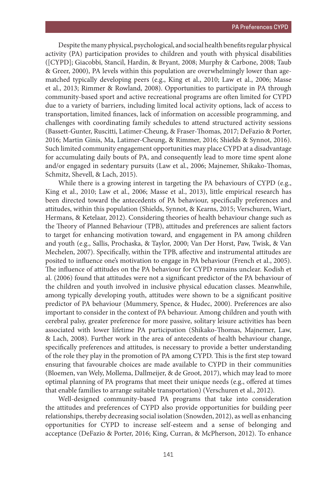Despite the many physical, psychological, and social health benefits regular physical activity (PA) participation provides to children and youth with physical disabilities ([CYPD]; Giacobbi, Stancil, Hardin, & Bryant, 2008; Murphy & Carbone, 2008; Taub & Greer, 2000), PA levels within this population are overwhelmingly lower than agematched typically developing peers (e.g., King et al., 2010; Law et al., 2006; Masse et al., 2013; Rimmer & Rowland, 2008). Opportunities to participate in PA through community-based sport and active recreational programs are often limited for CYPD due to a variety of barriers, including limited local activity options, lack of access to transportation, limited finances, lack of information on accessible programming, and challenges with coordinating family schedules to attend structured activity sessions (Bassett-Gunter, Ruscitti, Latimer-Cheung, & Fraser-Thomas, 2017; DeFazio & Porter, 2016; Martin Ginis, Ma, Latimer-Cheung, & Rimmer, 2016; Shields & Synnot, 2016). Such limited community engagement opportunities may place CYPD at a disadvantage for accumulating daily bouts of PA, and consequently lead to more time spent alone and/or engaged in sedentary pursuits (Law et al., 2006; Majnemer, Shikako-Thomas, Schmitz, Shevell, & Lach, 2015).

While there is a growing interest in targeting the PA behaviours of CYPD (e.g., King et al., 2010; Law et al., 2006; Masse et al., 2013), little empirical research has been directed toward the antecedents of PA behaviour, specifically preferences and attitudes, within this population (Shields, Synnot, & Kearns, 2015; Verschuren, Wiart, Hermans, & Ketelaar, 2012). Considering theories of health behaviour change such as the Theory of Planned Behaviour (TPB), attitudes and preferences are salient factors to target for enhancing motivation toward, and engagement in PA among children and youth (e.g., Sallis, Prochaska, & Taylor, 2000; Van Der Horst, Paw, Twisk, & Van Mechelen, 2007). Specifically, within the TPB, affective and instrumental attitudes are posited to influence one's motivation to engage in PA behaviour (French et al., 2005). The influence of attitudes on the PA behaviour for CYPD remains unclear. Kodish et al. (2006) found that attitudes were not a significant predictor of the PA behaviour of the children and youth involved in inclusive physical education classes. Meanwhile, among typically developing youth, attitudes were shown to be a significant positive predictor of PA behaviour (Mummery, Spence, & Hudec, 2000). Preferences are also important to consider in the context of PA behaviour. Among children and youth with cerebral palsy, greater preference for more passive, solitary leisure activities has been associated with lower lifetime PA participation (Shikako-Thomas, Majnemer, Law, & Lach, 2008). Further work in the area of antecedents of health behaviour change, specifically preferences and attitudes, is necessary to provide a better understanding of the role they play in the promotion of PA among CYPD. This is the first step toward ensuring that favourable choices are made available to CYPD in their communities (Bloemen, van Wely, Mollema, Dallmeijer, & de Groot, 2017), which may lead to more optimal planning of PA programs that meet their unique needs (e.g., offered at times that enable families to arrange suitable transportation) (Verschuren et al., 2012).

Well-designed community-based PA programs that take into consideration the attitudes and preferences of CYPD also provide opportunities for building peer relationships, thereby decreasing social isolation (Snowden, 2012), as well as enhancing opportunities for CYPD to increase self-esteem and a sense of belonging and acceptance (DeFazio & Porter, 2016; King, Curran, & McPherson, 2012). To enhance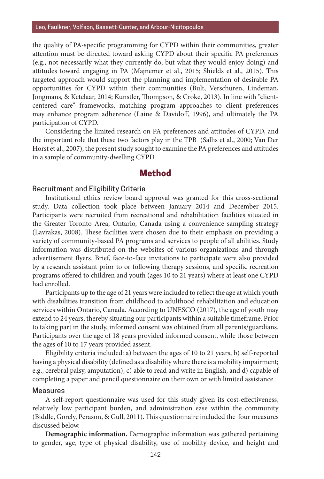the quality of PA-specific programming for CYPD within their communities, greater attention must be directed toward asking CYPD about their specific PA preferences (e.g., not necessarily what they currently do, but what they would enjoy doing) and attitudes toward engaging in PA (Majnemer et al., 2015; Shields et al., 2015). This targeted approach would support the planning and implementation of desirable PA opportunities for CYPD within their communities (Bult, Verschuren, Lindeman, Jongmans, & Ketelaar, 2014; Kunstler, Thompson, & Croke, 2013). In line with "clientcentered care" frameworks, matching program approaches to client preferences may enhance program adherence (Laine & Davidoff, 1996), and ultimately the PA participation of CYPD.

Considering the limited research on PA preferences and attitudes of CYPD, and the important role that these two factors play in the TPB (Sallis et al., 2000; Van Der Horst et al., 2007), the present study sought to examine the PA preferences and attitudes in a sample of community-dwelling CYPD.

### **Method**

#### Recruitment and Eligibility Criteria

Institutional ethics review board approval was granted for this cross-sectional study. Data collection took place between January 2014 and December 2015. Participants were recruited from recreational and rehabilitation facilities situated in the Greater Toronto Area, Ontario, Canada using a convenience sampling strategy (Lavrakas, 2008). These facilities were chosen due to their emphasis on providing a variety of community-based PA programs and services to people of all abilities. Study information was distributed on the websites of various organizations and through advertisement flyers. Brief, face-to-face invitations to participate were also provided by a research assistant prior to or following therapy sessions, and specific recreation programs offered to children and youth (ages 10 to 21 years) where at least one CYPD had enrolled.

Participants up to the age of 21 years were included to reflect the age at which youth with disabilities transition from childhood to adulthood rehabilitation and education services within Ontario, Canada. According to UNESCO (2017), the age of youth may extend to 24 years, thereby situating our participants within a suitable timeframe. Prior to taking part in the study, informed consent was obtained from all parents/guardians. Participants over the age of 18 years provided informed consent, while those between the ages of 10 to 17 years provided assent.

Eligibility criteria included: a) between the ages of 10 to 21 years, b) self-reported having a physical disability (defined as a disability where there is a mobility impairment; e.g., cerebral palsy, amputation), c) able to read and write in English, and d) capable of completing a paper and pencil questionnaire on their own or with limited assistance.

#### Measures

A self-report questionnaire was used for this study given its cost-effectiveness, relatively low participant burden, and administration ease within the community (Biddle, Gorely, Perason, & Gull, 2011). This questionnaire included the four measures discussed below.

**Demographic information.** Demographic information was gathered pertaining to gender, age, type of physical disability, use of mobility device, and height and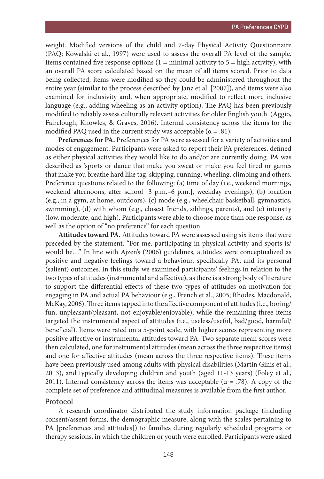weight. Modified versions of the child and 7-day Physical Activity Questionnaire (PAQ; Kowalski et al., 1997) were used to assess the overall PA level of the sample. Items contained five response options  $(1 = \text{minimal activity to } 5 = \text{high activity})$ , with an overall PA score calculated based on the mean of all items scored. Prior to data being collected, items were modified so they could be administered throughout the entire year (similar to the process described by Janz et al. [2007]), and items were also examined for inclusivity and, when appropriate, modified to reflect more inclusive language (e.g., adding wheeling as an activity option). The PAQ has been previously modified to reliably assess culturally relevant activities for older English youth (Aggio, Fairclough, Knowles, & Graves, 2016). Internal consistency across the items for the modified PAQ used in the current study was acceptable ( $\alpha = .81$ ).

**Preferences for PA.** Preferences for PA were assessed for a variety of activities and modes of engagement. Participants were asked to report their PA preferences, defined as either physical activities they would like to do and/or are currently doing. PA was described as 'sports or dance that make you sweat or make you feel tired or games that make you breathe hard like tag, skipping, running, wheeling, climbing and others. Preference questions related to the following: (a) time of day (i.e., weekend mornings, weekend afternoons, after school [3 p.m.–6 p.m.], weekday evenings), (b) location (e.g., in a gym, at home, outdoors), (c) mode (e.g., wheelchair basketball, gymnastics, swimming), (d) with whom (e.g., closest friends, siblings, parents), and (e) intensity (low, moderate, and high). Participants were able to choose more than one response, as well as the option of "no preference" for each question.

**Attitudes toward PA.** Attitudes toward PA were assessed using six items that were preceded by the statement, "For me, participating in physical activity and sports is/ would be…" In line with Ajzen's (2006) guidelines, attitudes were conceptualized as positive and negative feelings toward a behaviour, specifically PA, and its personal (salient) outcomes. In this study, we examined participants' feelings in relation to the two types of attitudes (instrumental and affective), as there is a strong body of literature to support the differential effects of these two types of attitudes on motivation for engaging in PA and actual PA behaviour (e.g., French et al., 2005; Rhodes, Macdonald, McKay, 2006). Three items tapped into the affective component of attitudes (i.e., boring/ fun, unpleasant/pleasant, not enjoyable/enjoyable), while the remaining three items targeted the instrumental aspect of attitudes (i.e., useless/useful, bad/good, harmful/ beneficial). Items were rated on a 5-point scale, with higher scores representing more positive affective or instrumental attitudes toward PA. Two separate mean scores were then calculated, one for instrumental attitudes (mean across the three respective items) and one for affective attitudes (mean across the three respective items). These items have been previously used among adults with physical disabilities (Martin Ginis et al., 2013), and typically developing children and youth (aged 11-13 years) (Foley et al., 2011). Internal consistency across the items was acceptable ( $\alpha = .78$ ). A copy of the complete set of preference and attitudinal measures is available from the first author.

#### Protocol

A research coordinator distributed the study information package (including consent/assent forms, the demographic measure, along with the scales pertaining to PA [preferences and attitudes]) to families during regularly scheduled programs or therapy sessions, in which the children or youth were enrolled. Participants were asked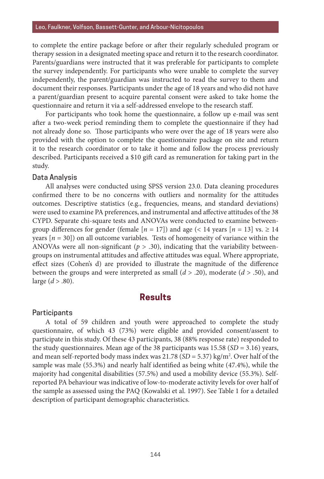to complete the entire package before or after their regularly scheduled program or therapy session in a designated meeting space and return it to the research coordinator. Parents/guardians were instructed that it was preferable for participants to complete the survey independently. For participants who were unable to complete the survey independently, the parent/guardian was instructed to read the survey to them and document their responses. Participants under the age of 18 years and who did not have a parent/guardian present to acquire parental consent were asked to take home the questionnaire and return it via a self-addressed envelope to the research staff.

For participants who took home the questionnaire, a follow up e-mail was sent after a two-week period reminding them to complete the questionnaire if they had not already done so. Those participants who were over the age of 18 years were also provided with the option to complete the questionnaire package on site and return it to the research coordinator or to take it home and follow the process previously described. Participants received a \$10 gift card as remuneration for taking part in the study.

#### Data Analysis

All analyses were conducted using SPSS version 23.0. Data cleaning procedures confirmed there to be no concerns with outliers and normality for the attitudes outcomes. Descriptive statistics (e.g., frequencies, means, and standard deviations) were used to examine PA preferences, and instrumental and affective attitudes of the 38 CYPD. Separate chi-square tests and ANOVAs were conducted to examine betweengroup differences for gender (female  $[n = 17]$ ) and age (< 14 years  $[n = 13]$  vs.  $\geq 14$ years  $[n = 30]$ ) on all outcome variables. Tests of homogeneity of variance within the ANOVAs were all non-significant ( $p > .30$ ), indicating that the variability betweengroups on instrumental attitudes and affective attitudes was equal. Where appropriate, effect sizes (Cohen's d) are provided to illustrate the magnitude of the difference between the groups and were interpreted as small  $(d > .20)$ , moderate  $(d > .50)$ , and large (*d* > .80).

### **Results**

#### **Participants**

A total of 59 children and youth were approached to complete the study questionnaire, of which 43 (73%) were eligible and provided consent/assent to participate in this study. Of these 43 participants, 38 (88% response rate) responded to the study questionnaires. Mean age of the 38 participants was  $15.58$  (*SD* = 3.16) years, and mean self-reported body mass index was 21.78 (*SD* = 5.37) kg/m2 . Over half of the sample was male (55.3%) and nearly half identified as being white (47.4%), while the majority had congenital disabilities (57.5%) and used a mobility device (55.3%). Selfreported PA behaviour was indicative of low-to-moderate activity levels for over half of the sample as assessed using the PAQ (Kowalski et al. 1997). See Table 1 for a detailed description of participant demographic characteristics.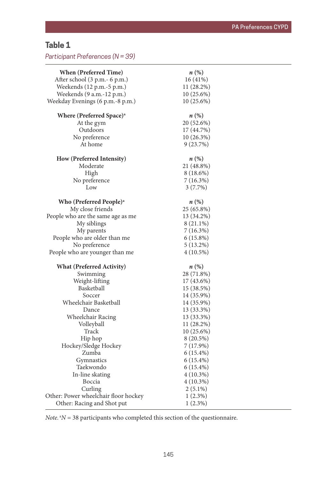## **Table 1**

*Participant Preferences (N = 39)*

| <b>When (Preferred Time)</b>         | $n\left(\%\right)$ |
|--------------------------------------|--------------------|
| After school (3 p.m.- 6 p.m.)        | 16 (41%)           |
| Weekends (12 p.m.-5 p.m.)            | 11 (28.2%)         |
| Weekends (9 a.m.-12 p.m.)            | 10 (25.6%)         |
| Weekday Evenings (6 p.m.-8 p.m.)     | 10 (25.6%)         |
| Where (Preferred Space) <sup>a</sup> | $n\left(\%\right)$ |
| At the gym                           | 20 (52.6%)         |
| Outdoors                             | 17 (44.7%)         |
| No preference                        | 10 (26.3%)         |
| At home                              | 9(23.7%)           |
| How (Preferred Intensity)            | $n\left(\%\right)$ |
| Moderate                             | 21 (48.8%)         |
| High                                 | 8 (18.6%)          |
| No preference                        | 7 (16.3%)          |
| Low                                  | $3(7.7\%)$         |
| Who (Preferred People) <sup>a</sup>  | $n\left(\%\right)$ |
| My close friends                     | 25 (65.8%)         |
| People who are the same age as me    | 13 (34.2%)         |
| My siblings                          | 8 (21.1%)          |
| My parents                           | 7 (16.3%)          |
| People who are older than me         | 6(15.8%)           |
| No preference                        | 5 (13.2%)          |
|                                      | 4 (10.5%)          |
| People who are younger than me       |                    |
| <b>What (Preferred Activity)</b>     | $n\left(\%\right)$ |
| Swimming                             | 28 (71.8%)         |
| Weight-lifting                       | 17 (43.6%)         |
| Basketball                           | 15 (38.5%)         |
| Soccer                               | 14 (35.9%)         |
| Wheelchair Basketball                | 14 (35.9%)         |
| Dance                                | 13 (33.3%)         |
| Wheelchair Racing                    | 13 (33.3%)         |
| Volleyball                           | 11 (28.2%)         |
| Track                                | 10 (25.6%)         |
| Hip hop                              | 8 (20.5%)          |
| Hockey/Sledge Hockey                 | 7 (17.9%)          |
| Zumba                                | 6 (15.4%)          |
| Gymnastics                           | 6 (15.4%)          |
| Taekwondo                            | 6 (15.4%)          |
| In-line skating                      | $4(10.3\%)$        |
| Boccia                               | $4(10.3\%)$        |
| Curling                              | $2(5.1\%)$         |
| Other: Power wheelchair floor hockey | $1(2.3\%)$         |
| Other: Racing and Shot put           | 1(2.3%)            |

*Note.*  ${}^{a}N$  = 38 participants who completed this section of the questionnaire.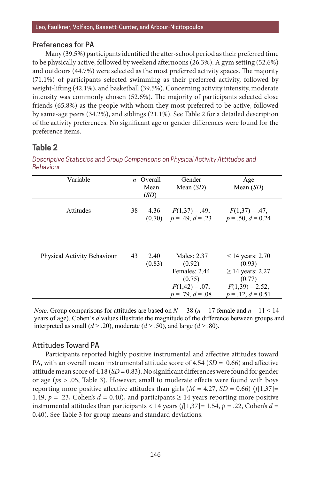#### Preferences for PA

Many (39.5%) participants identified the after-school period as their preferred time to be physically active, followed by weekend afternoons (26.3%). A gym setting (52.6%) and outdoors (44.7%) were selected as the most preferred activity spaces. The majority (71.1%) of participants selected swimming as their preferred activity, followed by weight-lifting (42.1%), and basketball (39.5%). Concerning activity intensity, moderate intensity was commonly chosen (52.6%). The majority of participants selected close friends (65.8%) as the people with whom they most preferred to be active, followed by same-age peers  $(34.2\%)$ , and siblings  $(21.1\%)$ . See Table 2 for a detailed description of the activity preferences. No significant age or gender differences were found for the preference items.

#### **Table 2** *Descriptive Statistics and Group Comparisons on Physical Activity Attitudes and*

*Descriptive Statistics and Group Comparisons on Physical Activity Attitudes and Behaviour Behaviour*

| Variable                    |    | n Overall<br>Mean<br>(SD) | Gender<br>Mean $(SD)$                                                                       | Age<br>Mean $(SD)$                                                                                         |
|-----------------------------|----|---------------------------|---------------------------------------------------------------------------------------------|------------------------------------------------------------------------------------------------------------|
| Attitudes                   | 38 | 4.36                      | $F(1,37) = .49$ ,<br>$(0.70)$ $p = .49, d = .23$                                            | $F(1,37) = .47$ ,<br>$p = .50, d = 0.24$                                                                   |
| Physical Activity Behaviour | 43 | 2.40<br>(0.83)            | Males: 2.37<br>(0.92)<br>Females: 2.44<br>(0.75)<br>$F(1,42) = .07$ ,<br>$p = .79, d = .08$ | $< 14$ years: 2.70<br>(0.93)<br>$\geq$ 14 years: 2.27<br>(0.77)<br>$F(1,39) = 2.52$<br>$p = .12, d = 0.51$ |

*Note.* Group comparisons for attitudes are based on  $N = 38$  ( $n = 17$  female and  $n = 11 < 14$ ) years of age). Cohen's *d* values illustrate the magnitude of the difference between groups and interpreted as small  $(d > .20)$ , moderate  $(d > .50)$ , and large  $(d > .80)$ .

### Attitudes Toward PA

Participants reported highly positive instrumental and affective attitudes toward PA, with an overall mean instrumental attitude score of 4.54 (*SD* = 0.66) and affective attitude mean score of 4.18 (*SD* = 0.83). No significant differences were found for gender or age (*ps* > .05, Table 3). However, small to moderate effects were found with boys reporting more positive affective attitudes than girls  $(M = 4.27, SD = 0.66)$  ( $f[1,37] =$ 1.49,  $p = 0.23$ , Cohen's  $d = 0.40$ ), and participants  $\ge 14$  years reporting more positive instrumental attitudes than participants  $\langle 14 \rangle$  years (*f*[1,37] = 1.54, *p* = .22, Cohen's *d* = 0.40). See Table 3 for group means and standard deviations.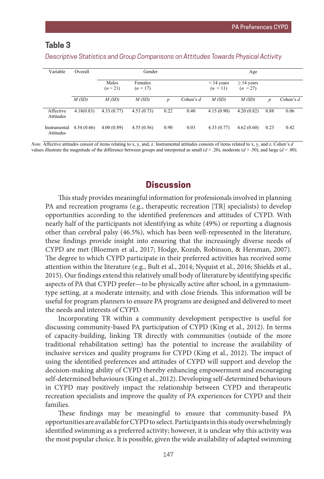#### **Table 3** Table 3

| Variable                  | Overall    | Gender              |                       |                  |             |                               | Age                           |                  |             |  |
|---------------------------|------------|---------------------|-----------------------|------------------|-------------|-------------------------------|-------------------------------|------------------|-------------|--|
|                           |            | Males<br>$(n = 21)$ | Females<br>$(n = 17)$ |                  |             | $\leq$ 14 years<br>$(n = 11)$ | $\geq$ 14 years<br>$(n = 27)$ |                  |             |  |
|                           | M(SD)      | M(SD)               | M(SD)                 | $\boldsymbol{p}$ | Cohen's $d$ | M(SD)                         | M(SD)                         | $\boldsymbol{D}$ | Cohen's $d$ |  |
| Affective<br>Attitudes    | 4.18(0.83) | 4.33(0.77)          | 4.53(0.73)            | 0.22             | 0.40        | 4.15(0.90)                    | 4.20(0.82)                    | 0.88             | 0.06        |  |
| Instrumental<br>Attitudes | 4.54(0.66) | 4.00(0.89)          | 4.55(0.56)            | 0.90             | 0.03        | 4.33(0.77)                    | 4.62(0.60)                    | 0.23             | 0.42        |  |

*Descriptive Statistics and Group Comparisons on Attitudes Towards Physical Activity Descriptive Statistics and Group Comparisons on Attitudes Towards Physical Activity.*

*Note.* Affective attitudes consist of items relating to x, y, and, z. Instrumental attitudes consists of items related to x, y, and z. Cohen's *d* values illustrate the magnitude of the difference between groups and interpreted as small  $(d > .20)$ , moderate  $(d > .50)$ , and large  $(d > .80)$ .

### **Discussion**

This study provides meaningful information for professionals involved in planning PA and recreation programs (e.g., therapeutic recreation [TR] specialists) to develop opportunities according to the identified preferences and attitudes of CYPD. With nearly half of the participants not identifying as white (49%) or reporting a diagnosis other than cerebral palsy (46.5%), which has been well-represented in the literature, these findings provide insight into ensuring that the increasingly diverse needs of CYPD are met (Bloemen et al., 2017; Hodge, Kozub, Robinson, & Hersman, 2007). The degree to which CYPD participate in their preferred activities has received some attention within the literature (e.g., Bult et al., 2014; Nyquist et al., 2016; Shields et al., 2015). Our findings extend this relatively small body of literature by identifying specific aspects of PA that CYPD prefer—to be physically active after school, in a gymnasiumtype setting, at a moderate intensity, and with close friends. This information will be useful for program planners to ensure PA programs are designed and delivered to meet the needs and interests of CYPD.

Incorporating TR within a community development perspective is useful for discussing community-based PA participation of CYPD (King et al., 2012). In terms of capacity-building, linking TR directly with communities (outside of the more traditional rehabilitation setting) has the potential to increase the availability of inclusive services and quality programs for CYPD (King et al., 2012). The impact of using the identified preferences and attitudes of CYPD will support and develop the decision-making ability of CYPD thereby enhancing empowerment and encouraging self-determined behaviours (King et al., 2012). Developing self-determined behaviours in CYPD may positively impact the relationship between CYPD and therapeutic recreation specialists and improve the quality of PA experiences for CYPD and their families.

These findings may be meaningful to ensure that community-based PA opportunities are available for CYPD to select. Participants in this study overwhelmingly identified swimming as a preferred activity; however, it is unclear why this activity was the most popular choice. It is possible, given the wide availability of adapted swimming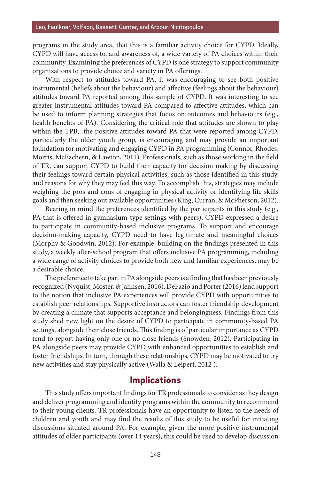programs in the study area, that this is a familiar activity choice for CYPD. Ideally, CYPD will have access to, and awareness of, a wide variety of PA choices within their community. Examining the preferences of CYPD is one strategy to support community organizations to provide choice and variety in PA offerings.

With respect to attitudes toward PA, it was encouraging to see both positive instrumental (beliefs about the behaviour) and affective (feelings about the behaviour) attitudes toward PA reported among this sample of CYPD. It was interesting to see greater instrumental attitudes toward PA compared to affective attitudes, which can be used to inform planning strategies that focus on outcomes and behaviours (e.g., health benefits of PA). Considering the critical role that attitudes are shown to play within the TPB, the positive attitudes toward PA that were reported among CYPD, particularly the older youth group, is encouraging and may provide an important foundation for motivating and engaging CYPD in PA programming (Connor, Rhodes, Morris, McEachern, & Lawton, 2011). Professionals, such as those working in the field of TR, can support CYPD to build their capacity for decision making by discussing their feelings toward certain physical activities, such as those identified in this study, and reasons for why they may feel this way. To accomplish this, strategies may include weighing the pros and cons of engaging in physical activity or identifying life skills goals and then seeking out available opportunities (King, Curran, & McPherson, 2012).

Bearing in mind the preferences identified by the participants in this study (e.g., PA that is offered in gymnasium-type settings with peers), CYPD expressed a desire to participate in community-based inclusive programs. To support and encourage decision-making capacity, CYPD need to have legitimate and meaningful choices (Morphy & Goodwin, 2012). For example, building on the findings presented in this study, a weekly after-school program that offers inclusive PA programming, including a wide range of activity choices to provide both new and familiar experiences, may be a desirable choice.

The preference to take part in PA alongside peers is a finding that has been previously recognized (Nyquist, Moster, & Jahnsen, 2016). DeFazio and Porter (2016) lend support to the notion that inclusive PA experiences will provide CYPD with opportunities to establish peer relationships. Supportive instructors can foster friendship development by creating a climate that supports acceptance and belongingness. Findings from this study shed new light on the desire of CYPD to participate in community-based PA settings, alongside their close friends. This finding is of particular importance as CYPD tend to report having only one or no close friends (Snowden, 2012). Participating in PA alongside peers may provide CYPD with enhanced opportunities to establish and foster friendships. In turn, through these relationships, CYPD may be motivated to try new activities and stay physically active (Walla & Leipert, 2012 ).

### **Implications**

This study offers important findings for TR professionals to consider as they design and deliver programming and identify programs within the community to recommend to their young clients. TR professionals have an opportunity to listen to the needs of children and youth and may find the results of this study to be useful for initiating discussions situated around PA. For example, given the more positive instrumental attitudes of older participants (over 14 years), this could be used to develop discussion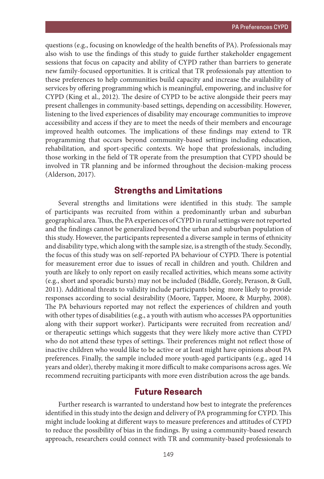questions (e.g., focusing on knowledge of the health benefits of PA). Professionals may also wish to use the findings of this study to guide further stakeholder engagement sessions that focus on capacity and ability of CYPD rather than barriers to generate new family-focused opportunities. It is critical that TR professionals pay attention to these preferences to help communities build capacity and increase the availability of services by offering programming which is meaningful, empowering, and inclusive for CYPD (King et al., 2012). The desire of CYPD to be active alongside their peers may present challenges in community-based settings, depending on accessibility. However, listening to the lived experiences of disability may encourage communities to improve accessibility and access if they are to meet the needs of their members and encourage improved health outcomes. The implications of these findings may extend to TR programming that occurs beyond community-based settings including education, rehabilitation, and sport-specific contexts. We hope that professionals, including those working in the field of TR operate from the presumption that CYPD should be involved in TR planning and be informed throughout the decision-making process (Alderson, 2017).

### **Strengths and Limitations**

Several strengths and limitations were identified in this study. The sample of participants was recruited from within a predominantly urban and suburban geographical area. Thus, the PA experiences of CYPD in rural settings were not reported and the findings cannot be generalized beyond the urban and suburban population of this study. However, the participants represented a diverse sample in terms of ethnicity and disability type, which along with the sample size, is a strength of the study. Secondly, the focus of this study was on self-reported PA behaviour of CYPD. There is potential for measurement error due to issues of recall in children and youth. Children and youth are likely to only report on easily recalled activities, which means some activity (e.g., short and sporadic bursts) may not be included (Biddle, Gorely, Perason, & Gull, 2011). Additional threats to validity include participants being more likely to provide responses according to social desirability (Moore, Tapper, Moore, & Murphy, 2008). The PA behaviours reported may not reflect the experiences of children and youth with other types of disabilities (e.g., a youth with autism who accesses PA opportunities along with their support worker). Participants were recruited from recreation and/ or therapeutic settings which suggests that they were likely more active than CYPD who do not attend these types of settings. Their preferences might not reflect those of inactive children who would like to be active or at least might have opinions about PA preferences. Finally, the sample included more youth-aged participants (e.g., aged 14 years and older), thereby making it more difficult to make comparisons across ages. We recommend recruiting participants with more even distribution across the age bands.

### **Future Research**

Further research is warranted to understand how best to integrate the preferences identified in this study into the design and delivery of PA programming for CYPD. This might include looking at different ways to measure preferences and attitudes of CYPD to reduce the possibility of bias in the findings. By using a community-based research approach, researchers could connect with TR and community-based professionals to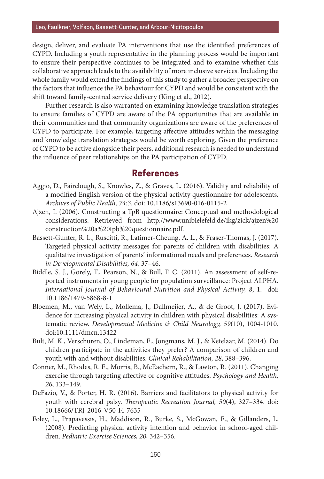design, deliver, and evaluate PA interventions that use the identified preferences of CYPD. Including a youth representative in the planning process would be important to ensure their perspective continues to be integrated and to examine whether this collaborative approach leads to the availability of more inclusive services. Including the whole family would extend the findings of this study to gather a broader perspective on the factors that influence the PA behaviour for CYPD and would be consistent with the shift toward family-centred service delivery (King et al., 2012).

Further research is also warranted on examining knowledge translation strategies to ensure families of CYPD are aware of the PA opportunities that are available in their communities and that community organizations are aware of the preferences of CYPD to participate. For example, targeting affective attitudes within the messaging and knowledge translation strategies would be worth exploring. Given the preference of CYPD to be active alongside their peers, additional research is needed to understand the influence of peer relationships on the PA participation of CYPD.

### **References**

- Aggio, D., Fairclough, S., Knowles, Z., & Graves, L. (2016). Validity and reliability of a modified English version of the physical activity questionnaire for adolescents. *Archives of Public Health, 74:3*. doi: 10.1186/s13690-016-0115-2
- Ajzen, I. (2006). Constructing a TpB questionnaire: Conceptual and methodological considerations. Retrieved from http://www.unibielefeld.de/ikg/zick/ajzen%20 construction%20a%20tpb%20questionnaire.pdf.
- Bassett-Gunter, R. L., Ruscitti, R., Latimer-Cheung, A. L., & Fraser-Thomas, J. (2017). Targeted physical activity messages for parents of children with disabilities: A qualitative investigation of parents' informational needs and preferences. *Research in Developmental Disabilities, 64*, 37–46.
- Biddle, S. J., Gorely, T., Pearson, N., & Bull, F. C. (2011). An assessment of self-reported instruments in young people for population surveillance: Project ALPHA. *International Journal of Behavioural Nutrition and Physical Activity, 8*, 1. doi: 10.1186/1479-5868-8-1
- Bloemen, M., van Wely, L., Mollema, J., Dallmeijer, A., & de Groot, J. (2017). Evidence for increasing physical activity in children with physical disabilities: A systematic review. *Developmental Medicine & Child Neurology, 59*(10), 1004-1010. doi:10.1111/dmcn.13422
- Bult, M. K., Verschuren, O., Lindeman, E., Jongmans, M. J., & Ketelaar, M. (2014). Do children participate in the activities they prefer? A comparison of children and youth with and without disabilities. *Clinical Rehabilitation, 28*, 388–396.
- Conner, M., Rhodes, R. E., Morris, B., McEachern, R., & Lawton, R. (2011). Changing exercise through targeting affective or cognitive attitudes. *Psychology and Health, 26*, 133–149.
- DeFazio, V., & Porter, H. R. (2016). Barriers and facilitators to physical activity for youth with cerebral palsy. *Therapeutic Recreation Journal, 50*(4), 327–334. doi: 10.18666/TRJ-2016-V50-I4-7635
- Foley, L., Prapavessis, H., Maddison, R., Burke, S., McGowan, E., & Gillanders, L. (2008). Predicting physical activity intention and behavior in school-aged children. *Pediatric Exercise Sciences, 20,* 342–356.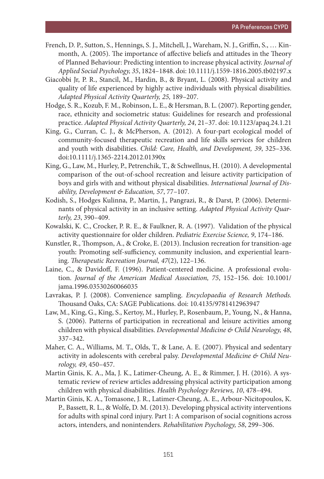- French, D. P., Sutton, S., Hennings, S. J., Mitchell, J., Wareham, N. J., Griffin, S., … Kinmonth, A. (2005). The importance of affective beliefs and attitudes in the Theory of Planned Behaviour: Predicting intention to increase physical activity. *Journal of Applied Social Psychology, 35*, 1824–1848. doi: 10.1111/j.1559-1816.2005.tb02197.x
- Giacobbi Jr, P. R., Stancil, M., Hardin, B., & Bryant, L. (2008). Physical activity and quality of life experienced by highly active individuals with physical disabilities. *Adapted Physical Activity Quarterly, 25,* 189–207.
- Hodge, S. R., Kozub, F. M., Robinson, L. E., & Hersman, B. L. (2007). Reporting gender, race, ethnicity and sociometric status: Guidelines for research and professional practice. *Adapted Physical Activity Quarterly, 24*, 21–37. doi: 10.1123/apaq.24.1.21
- King, G., Curran, C. J., & McPherson, A. (2012). A four-part ecological model of community-focused therapeutic recreation and life skills services for children and youth with disabilities. *Child: Care, Health, and Development, 39*, 325–336. doi:10.1111/j.1365-2214.2012.01390x
- King, G., Law, M., Hurley, P., Petrenchik, T., & Schwellnus, H. (2010). A developmental comparison of the out-of-school recreation and leisure activity participation of boys and girls with and without physical disabilities. *International Journal of Disability, Development & Education, 57*, 77–107.
- Kodish, S., Hodges Kulinna, P., Martin, J., Pangrazi, R., & Darst, P. (2006). Determinants of physical activity in an inclusive setting. *Adapted Physical Activity Quarterly, 23*, 390–409.
- Kowalski, K. C., Crocker, P. R. E., & Faulkner, R. A. (1997). Validation of the physical activity questionnaire for older children. *Pediatric Exercise Science, 9*, 174–186.
- Kunstler, R., Thompson, A., & Croke, E. (2013). Inclusion recreation for transition-age youth: Promoting self-sufficiency, community inclusion, and experiential learning. *Therapeutic Recreation Journal, 47*(2), 122–136.
- Laine, C., & Davidoff, F. (1996). Patient-centered medicine. A professional evolution. *Journal of the American Medical Association, 75*, 152–156. doi: 10.1001/ jama.1996.03530260066035
- Lavrakas, P. J. (2008). Convenience sampling. *Encyclopaedia of Research Methods.*  Thousand Oaks, CA: SAGE Publications. doi: 10.4135/9781412963947
- Law, M., King, G., King, S., Kertoy, M., Hurley, P., Rosenbaum, P., Young, N., & Hanna, S. (2006). Patterns of participation in recreational and leisure activities among children with physical disabilities. *Developmental Medicine & Child Neurology, 48*, 337–342.
- Maher, C. A., Williams, M. T., Olds, T., & Lane, A. E. (2007). Physical and sedentary activity in adolescents with cerebral palsy. *Developmental Medicine & Child Neurology, 49*, 450–457.
- Martin Ginis, K. A., Ma, J. K., Latimer-Cheung, A. E., & Rimmer, J. H. (2016). A systematic review of review articles addressing physical activity participation among children with physical disabilities. *Health Psychology Reviews, 10*, 478–494.
- Martin Ginis, K. A., Tomasone, J. R., Latimer-Cheung, A. E., Arbour-Nicitopoulos, K. P., Bassett, R. L., & Wolfe, D. M. (2013). Developing physical activity interventions for adults with spinal cord injury. Part 1: A comparison of social cognitions across actors, intenders, and nonintenders. *Rehabilitation Psychology, 58*, 299–306.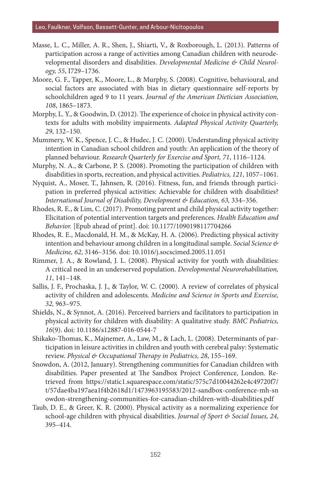- Masse, L. C., Miller, A. R., Shen, J., Shiarti, V., & Roxborough, L. (2013). Patterns of participation across a range of activities among Canadian children with neurodevelopmental disorders and disabilities. *Developmental Medicine & Child Neurology, 55*, I729–1736.
- Moore, G. F., Tapper, K., Moore, L., & Murphy, S. (2008). Cognitive, behavioural, and social factors are associated with bias in dietary questionnaire self-reports by schoolchildren aged 9 to 11 years. *Journal of the American Dietician Association, 108*, 1865–1873.
- Morphy, L. Y., & Goodwin, D. (2012). The experience of choice in physical activity contexts for adults with mobility impairments. *Adapted Physical Activity Quarterly, 29*, 132–150.
- Mummery, W. K., Spence, J. C., & Hudec, J. C. (2000). Understanding physical activity intention in Canadian school children and youth: An application of the theory of planned behaviour. *Research Quarterly for Exercise and Sport, 71*, 1116–1124.
- Murphy, N. A., & Carbone, P. S. (2008). Promoting the participation of children with disabilities in sports, recreation, and physical activities. *Pediatrics, 121*, 1057–1061.
- Nyquist, A., Moser, T., Jahnsen, R. (2016). Fitness, fun, and friends through participation in preferred physical activities: Achievable for children with disabilities? *International Journal of Disability, Development & Education, 63,* 334–356.
- Rhodes, R. E., & Lim, C. (2017). Promoting parent and child physical activity together: Elicitation of potential intervention targets and preferences. *Health Education and Behavior.* [Epub ahead of print]. doi: 10.1177/1090198117704266
- Rhodes, R. E., Macdonald, H. M., & McKay, H. A. (2006). Predicting physical activity intention and behaviour among children in a longitudinal sample. *Social Science & Medicine, 62*, 3146–3156. doi: 10.1016/j.socscimed.2005.11.051
- Rimmer, J. A., & Rowland, J. L. (2008). Physical activity for youth with disabilities: A critical need in an underserved population. *Developmental Neurorehabilitation, 11*, 141–148.
- Sallis, J. F., Prochaska, J. J., & Taylor, W. C. (2000). A review of correlates of physical activity of children and adolescents. *Medicine and Science in Sports and Exercise, 32,* 963–975.
- Shields, N., & Synnot, A. (2016). Perceived barriers and facilitators to participation in physical activity for children with disability: A qualitative study. *BMC Pediatrics, 16*(9). doi: 10.1186/s12887-016-0544-7
- Shikako-Thomas, K., Majnemer, A., Law, M., & Lach, L. (2008). Determinants of participation in leisure activities in children and youth with cerebral palsy: Systematic review. *Physical & Occupational Therapy in Pediatrics, 28*, 155–169.
- Snowdon, A. (2012, January). Strengthening communities for Canadian children with disabilities. Paper presented at The Sandbox Project Conference, London. Retrieved from https://static1.squarespace.com/static/575c7d10044262e4c49720f7/ t/57dae4ba197aea1f4b2618d1/1473963195583/2012-sandbox-conference-mh-sn owdon-strengthening-communities-for-canadian-children-with-disabilities.pdf
- Taub, D. E., & Greer, K. R. (2000). Physical activity as a normalizing experience for school-age children with physical disabilities. *Journal of Sport & Social Issues, 24*, 395–414.